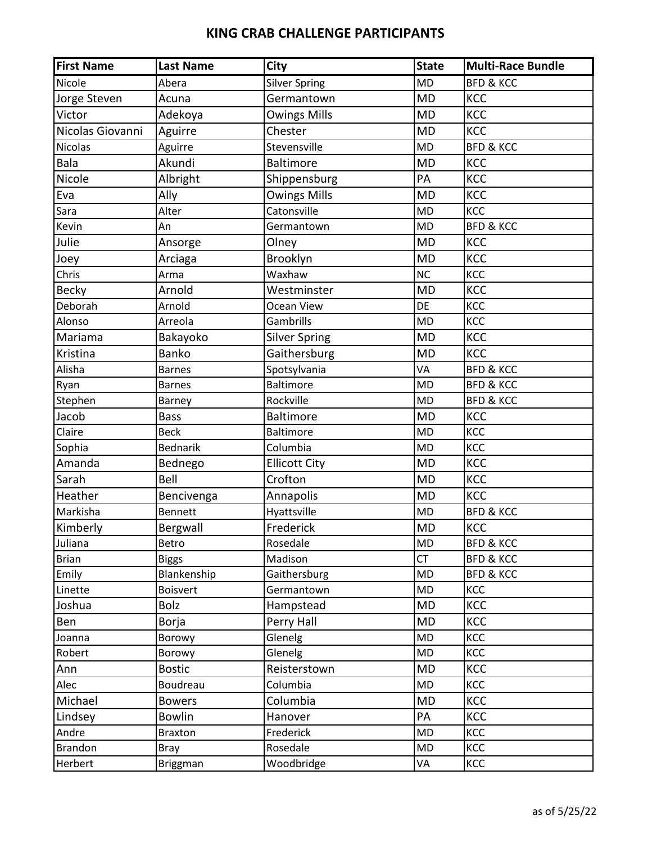| <b>First Name</b> | <b>Last Name</b> | <b>City</b>          | <b>State</b> | <b>Multi-Race Bundle</b> |
|-------------------|------------------|----------------------|--------------|--------------------------|
| Nicole            | Abera            | <b>Silver Spring</b> | <b>MD</b>    | <b>BFD &amp; KCC</b>     |
| Jorge Steven      | Acuna            | Germantown           | <b>MD</b>    | KCC                      |
| Victor            | Adekoya          | <b>Owings Mills</b>  | <b>MD</b>    | KCC                      |
| Nicolas Giovanni  | Aguirre          | Chester              | <b>MD</b>    | KCC                      |
| <b>Nicolas</b>    | Aguirre          | Stevensville         | <b>MD</b>    | <b>BFD &amp; KCC</b>     |
| Bala              | Akundi           | <b>Baltimore</b>     | <b>MD</b>    | KCC                      |
| Nicole            | Albright         | Shippensburg         | PA           | KCC                      |
| Eva               | Ally             | <b>Owings Mills</b>  | <b>MD</b>    | KCC                      |
| Sara              | Alter            | Catonsville          | <b>MD</b>    | KCC                      |
| Kevin             | An               | Germantown           | <b>MD</b>    | <b>BFD &amp; KCC</b>     |
| Julie             | Ansorge          | Olney                | <b>MD</b>    | KCC                      |
| Joey              | Arciaga          | Brooklyn             | <b>MD</b>    | KCC                      |
| Chris             | Arma             | Waxhaw               | <b>NC</b>    | KCC                      |
| <b>Becky</b>      | Arnold           | Westminster          | <b>MD</b>    | KCC                      |
| Deborah           | Arnold           | Ocean View           | DE           | KCC                      |
| Alonso            | Arreola          | Gambrills            | <b>MD</b>    | KCC                      |
| Mariama           | Bakayoko         | <b>Silver Spring</b> | <b>MD</b>    | KCC                      |
| Kristina          | Banko            | Gaithersburg         | <b>MD</b>    | KCC                      |
| Alisha            | <b>Barnes</b>    | Spotsylvania         | VA           | <b>BFD &amp; KCC</b>     |
| Ryan              | <b>Barnes</b>    | <b>Baltimore</b>     | <b>MD</b>    | <b>BFD &amp; KCC</b>     |
| Stephen           | Barney           | Rockville            | <b>MD</b>    | <b>BFD &amp; KCC</b>     |
| Jacob             | <b>Bass</b>      | <b>Baltimore</b>     | <b>MD</b>    | KCC                      |
| Claire            | <b>Beck</b>      | <b>Baltimore</b>     | <b>MD</b>    | KCC                      |
| Sophia            | <b>Bednarik</b>  | Columbia             | <b>MD</b>    | KCC                      |
| Amanda            | Bednego          | <b>Ellicott City</b> | <b>MD</b>    | KCC                      |
| Sarah             | Bell             | Crofton              | <b>MD</b>    | KCC                      |
| Heather           | Bencivenga       | Annapolis            | <b>MD</b>    | KCC                      |
| Markisha          | <b>Bennett</b>   | Hyattsville          | <b>MD</b>    | <b>BFD &amp; KCC</b>     |
| Kimberly          | Bergwall         | Frederick            | <b>MD</b>    | KCC                      |
| Juliana           | Betro            | Rosedale             | <b>MD</b>    | <b>BFD &amp; KCC</b>     |
| <b>Brian</b>      | <b>Biggs</b>     | Madison              | CT           | <b>BFD &amp; KCC</b>     |
| Emily             | Blankenship      | Gaithersburg         | MD           | <b>BFD &amp; KCC</b>     |
| Linette           | <b>Boisvert</b>  | Germantown           | MD           | KCC                      |
| Joshua            | <b>Bolz</b>      | Hampstead            | <b>MD</b>    | KCC                      |
| Ben               | Borja            | Perry Hall           | <b>MD</b>    | KCC                      |
| Joanna            | Borowy           | Glenelg              | MD           | KCC                      |
| Robert            | Borowy           | Glenelg              | MD           | KCC                      |
| Ann               | <b>Bostic</b>    | Reisterstown         | <b>MD</b>    | KCC                      |
| Alec              | Boudreau         | Columbia             | <b>MD</b>    | KCC                      |
| Michael           | <b>Bowers</b>    | Columbia             | <b>MD</b>    | KCC                      |
| Lindsey           | <b>Bowlin</b>    | Hanover              | PA           | KCC                      |
| Andre             | <b>Braxton</b>   | Frederick            | <b>MD</b>    | KCC                      |
| Brandon           | <b>Bray</b>      | Rosedale             | MD           | KCC                      |
| Herbert           | Briggman         | Woodbridge           | VA           | KCC                      |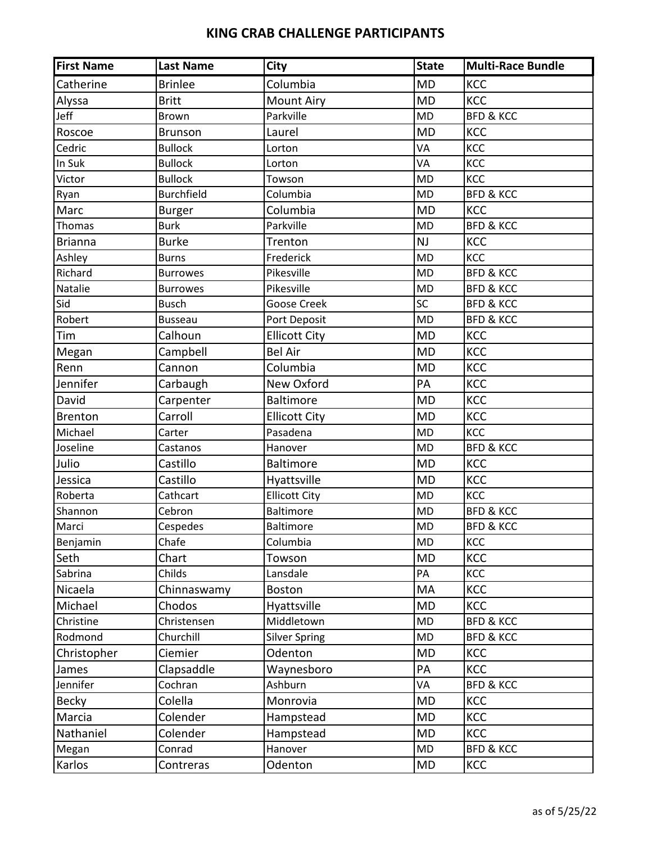| <b>First Name</b> | <b>Last Name</b>  | <b>City</b>          | <b>State</b> | <b>Multi-Race Bundle</b> |
|-------------------|-------------------|----------------------|--------------|--------------------------|
| Catherine         | <b>Brinlee</b>    | Columbia             | <b>MD</b>    | KCC                      |
| Alyssa            | <b>Britt</b>      | <b>Mount Airy</b>    | <b>MD</b>    | <b>KCC</b>               |
| Jeff              | Brown             | Parkville            | <b>MD</b>    | <b>BFD &amp; KCC</b>     |
| Roscoe            | <b>Brunson</b>    | Laurel               | <b>MD</b>    | KCC                      |
| Cedric            | <b>Bullock</b>    | Lorton               | VA           | KCC                      |
| In Suk            | <b>Bullock</b>    | Lorton               | VA           | KCC                      |
| Victor            | <b>Bullock</b>    | Towson               | <b>MD</b>    | KCC                      |
| Ryan              | <b>Burchfield</b> | Columbia             | <b>MD</b>    | <b>BFD &amp; KCC</b>     |
| Marc              | <b>Burger</b>     | Columbia             | <b>MD</b>    | KCC                      |
| Thomas            | <b>Burk</b>       | Parkville            | <b>MD</b>    | <b>BFD &amp; KCC</b>     |
| <b>Brianna</b>    | <b>Burke</b>      | Trenton              | NJ           | KCC                      |
| Ashley            | <b>Burns</b>      | Frederick            | <b>MD</b>    | KCC                      |
| Richard           | <b>Burrowes</b>   | Pikesville           | <b>MD</b>    | <b>BFD &amp; KCC</b>     |
| Natalie           | <b>Burrowes</b>   | Pikesville           | <b>MD</b>    | <b>BFD &amp; KCC</b>     |
| Sid               | <b>Busch</b>      | <b>Goose Creek</b>   | SC           | <b>BFD &amp; KCC</b>     |
| Robert            | <b>Busseau</b>    | Port Deposit         | <b>MD</b>    | <b>BFD &amp; KCC</b>     |
| Tim               | Calhoun           | <b>Ellicott City</b> | <b>MD</b>    | KCC                      |
| Megan             | Campbell          | <b>Bel Air</b>       | <b>MD</b>    | KCC                      |
| Renn              | Cannon            | Columbia             | <b>MD</b>    | KCC                      |
| Jennifer          | Carbaugh          | New Oxford           | PA           | KCC                      |
| David             | Carpenter         | <b>Baltimore</b>     | <b>MD</b>    | KCC                      |
| <b>Brenton</b>    | Carroll           | <b>Ellicott City</b> | <b>MD</b>    | KCC                      |
| Michael           | Carter            | Pasadena             | <b>MD</b>    | KCC                      |
| Joseline          | Castanos          | Hanover              | <b>MD</b>    | <b>BFD &amp; KCC</b>     |
| Julio             | Castillo          | <b>Baltimore</b>     | <b>MD</b>    | KCC                      |
| Jessica           | Castillo          | Hyattsville          | <b>MD</b>    | KCC                      |
| Roberta           | Cathcart          | <b>Ellicott City</b> | <b>MD</b>    | KCC                      |
| Shannon           | Cebron            | <b>Baltimore</b>     | <b>MD</b>    | <b>BFD &amp; KCC</b>     |
| Marci             | Cespedes          | <b>Baltimore</b>     | <b>MD</b>    | <b>BFD &amp; KCC</b>     |
| Benjamin          | Chafe             | Columbia             | <b>MD</b>    | KCC                      |
| Seth              | Chart             | Towson               | <b>MD</b>    | KCC                      |
| Sabrina           | Childs            | Lansdale             | PA           | KCC                      |
| Nicaela           | Chinnaswamy       | <b>Boston</b>        | MA           | <b>KCC</b>               |
| Michael           | Chodos            | Hyattsville          | <b>MD</b>    | KCC                      |
| Christine         | Christensen       | Middletown           | MD           | <b>BFD &amp; KCC</b>     |
| Rodmond           | Churchill         | <b>Silver Spring</b> | <b>MD</b>    | <b>BFD &amp; KCC</b>     |
| Christopher       | Ciemier           | Odenton              | MD           | KCC                      |
| James             | Clapsaddle        | Waynesboro           | PA           | <b>KCC</b>               |
| Jennifer          | Cochran           | Ashburn              | VA           | <b>BFD &amp; KCC</b>     |
| <b>Becky</b>      | Colella           | Monrovia             | <b>MD</b>    | KCC                      |
| Marcia            | Colender          | Hampstead            | <b>MD</b>    | KCC                      |
| Nathaniel         | Colender          | Hampstead            | <b>MD</b>    | KCC                      |
| Megan             | Conrad            | Hanover              | MD           | <b>BFD &amp; KCC</b>     |
| Karlos            | Contreras         | Odenton              | MD           | KCC                      |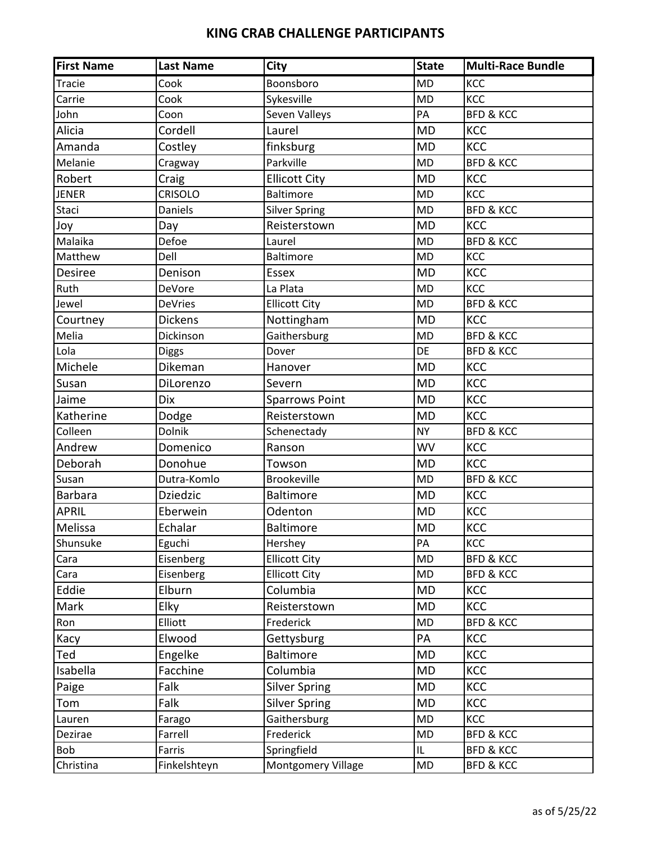| <b>First Name</b> | <b>Last Name</b> | <b>City</b>           | <b>State</b> | <b>Multi-Race Bundle</b> |
|-------------------|------------------|-----------------------|--------------|--------------------------|
| Tracie            | Cook             | Boonsboro             | <b>MD</b>    | KCC                      |
| Carrie            | Cook             | Sykesville            | <b>MD</b>    | KCC                      |
| John              | Coon             | Seven Valleys         | PA           | <b>BFD &amp; KCC</b>     |
| Alicia            | Cordell          | Laurel                | <b>MD</b>    | KCC                      |
| Amanda            | Costley          | finksburg             | <b>MD</b>    | <b>KCC</b>               |
| Melanie           | Cragway          | Parkville             | <b>MD</b>    | <b>BFD &amp; KCC</b>     |
| Robert            | Craig            | <b>Ellicott City</b>  | <b>MD</b>    | <b>KCC</b>               |
| <b>JENER</b>      | <b>CRISOLO</b>   | <b>Baltimore</b>      | <b>MD</b>    | KCC                      |
| Staci             | Daniels          | <b>Silver Spring</b>  | <b>MD</b>    | <b>BFD &amp; KCC</b>     |
| Joy               | Day              | Reisterstown          | <b>MD</b>    | KCC                      |
| Malaika           | Defoe            | Laurel                | <b>MD</b>    | <b>BFD &amp; KCC</b>     |
| Matthew           | Dell             | <b>Baltimore</b>      | <b>MD</b>    | KCC                      |
| Desiree           | Denison          | Essex                 | <b>MD</b>    | KCC                      |
| Ruth              | DeVore           | La Plata              | <b>MD</b>    | KCC                      |
| Jewel             | <b>DeVries</b>   | <b>Ellicott City</b>  | <b>MD</b>    | <b>BFD &amp; KCC</b>     |
| Courtney          | Dickens          | Nottingham            | <b>MD</b>    | <b>KCC</b>               |
| Melia             | Dickinson        | Gaithersburg          | <b>MD</b>    | <b>BFD &amp; KCC</b>     |
| Lola              | <b>Diggs</b>     | Dover                 | DE           | <b>BFD &amp; KCC</b>     |
| Michele           | Dikeman          | Hanover               | <b>MD</b>    | KCC                      |
| Susan             | DiLorenzo        | Severn                | <b>MD</b>    | KCC                      |
| Jaime             | <b>Dix</b>       | <b>Sparrows Point</b> | <b>MD</b>    | KCC                      |
| Katherine         | Dodge            | Reisterstown          | <b>MD</b>    | <b>KCC</b>               |
| Colleen           | Dolnik           | Schenectady           | <b>NY</b>    | <b>BFD &amp; KCC</b>     |
| Andrew            | Domenico         | Ranson                | <b>WV</b>    | KCC                      |
| Deborah           | Donohue          | Towson                | <b>MD</b>    | KCC                      |
| Susan             | Dutra-Komlo      | <b>Brookeville</b>    | <b>MD</b>    | <b>BFD &amp; KCC</b>     |
| <b>Barbara</b>    | <b>Dziedzic</b>  | <b>Baltimore</b>      | <b>MD</b>    | KCC                      |
| <b>APRIL</b>      | Eberwein         | Odenton               | <b>MD</b>    | KCC                      |
| Melissa           | Echalar          | <b>Baltimore</b>      | <b>MD</b>    | KCC                      |
| Shunsuke          | Eguchi           | Hershey               | PA           | KCC                      |
| Cara              | Eisenberg        | <b>Ellicott City</b>  | <b>MD</b>    | <b>BFD &amp; KCC</b>     |
| Cara              | Eisenberg        | <b>Ellicott City</b>  | MD           | <b>BFD &amp; KCC</b>     |
| Eddie             | Elburn           | Columbia              | <b>MD</b>    | KCC                      |
| Mark              | Elky             | Reisterstown          | <b>MD</b>    | <b>KCC</b>               |
| Ron               | Elliott          | Frederick             | MD           | <b>BFD &amp; KCC</b>     |
| Kacy              | Elwood           | Gettysburg            | PA           | KCC                      |
| Ted               | Engelke          | Baltimore             | <b>MD</b>    | <b>KCC</b>               |
| Isabella          | Facchine         | Columbia              | <b>MD</b>    | <b>KCC</b>               |
| Paige             | Falk             | <b>Silver Spring</b>  | <b>MD</b>    | KCC                      |
| Tom               | Falk             | <b>Silver Spring</b>  | <b>MD</b>    | KCC                      |
| Lauren            | Farago           | Gaithersburg          | MD           | KCC                      |
| Dezirae           | Farrell          | Frederick             | MD           | <b>BFD &amp; KCC</b>     |
| Bob               | Farris           | Springfield           | IL.          | <b>BFD &amp; KCC</b>     |
| Christina         | Finkelshteyn     | Montgomery Village    | MD           | <b>BFD &amp; KCC</b>     |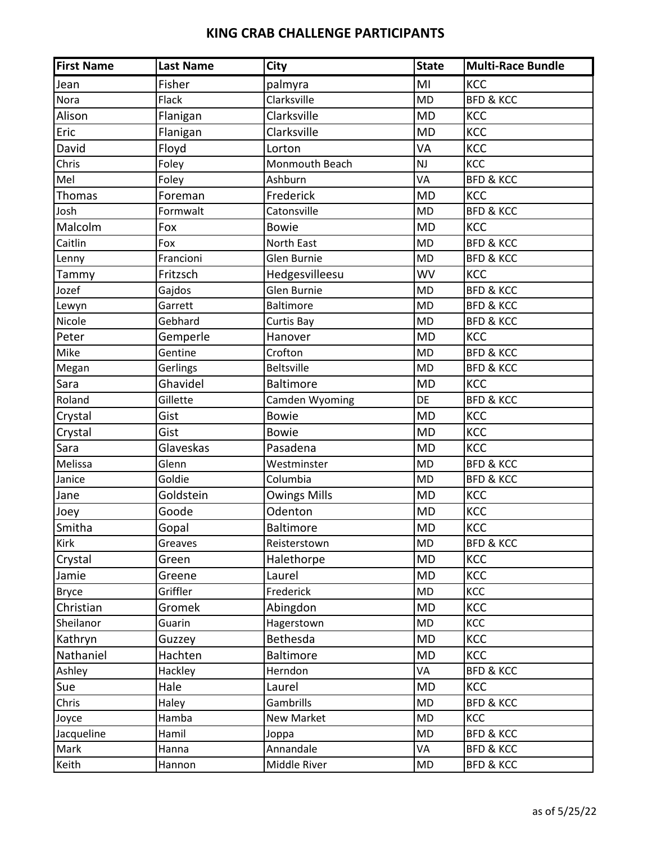| <b>First Name</b> | <b>Last Name</b> | City                | <b>State</b> | <b>Multi-Race Bundle</b> |
|-------------------|------------------|---------------------|--------------|--------------------------|
| Jean              | Fisher           | palmyra             | MI           | KCC                      |
| Nora              | Flack            | Clarksville         | <b>MD</b>    | <b>BFD &amp; KCC</b>     |
| Alison            | Flanigan         | Clarksville         | <b>MD</b>    | KCC                      |
| Eric              | Flanigan         | Clarksville         | <b>MD</b>    | KCC                      |
| David             | Floyd            | Lorton              | VA           | KCC                      |
| Chris             | Foley            | Monmouth Beach      | NJ           | KCC                      |
| Mel               | Foley            | Ashburn             | VA           | <b>BFD &amp; KCC</b>     |
| Thomas            | Foreman          | Frederick           | <b>MD</b>    | KCC                      |
| Josh              | Formwalt         | Catonsville         | <b>MD</b>    | <b>BFD &amp; KCC</b>     |
| Malcolm           | Fox              | <b>Bowie</b>        | <b>MD</b>    | KCC                      |
| Caitlin           | Fox              | North East          | <b>MD</b>    | <b>BFD &amp; KCC</b>     |
| Lenny             | Francioni        | Glen Burnie         | <b>MD</b>    | <b>BFD &amp; KCC</b>     |
| Tammy             | Fritzsch         | Hedgesvilleesu      | <b>WV</b>    | <b>KCC</b>               |
| Jozef             | Gajdos           | <b>Glen Burnie</b>  | <b>MD</b>    | <b>BFD &amp; KCC</b>     |
| Lewyn             | Garrett          | <b>Baltimore</b>    | <b>MD</b>    | <b>BFD &amp; KCC</b>     |
| Nicole            | Gebhard          | Curtis Bay          | <b>MD</b>    | <b>BFD &amp; KCC</b>     |
| Peter             | Gemperle         | Hanover             | <b>MD</b>    | KCC                      |
| Mike              | Gentine          | Crofton             | <b>MD</b>    | <b>BFD &amp; KCC</b>     |
| Megan             | Gerlings         | <b>Beltsville</b>   | <b>MD</b>    | <b>BFD &amp; KCC</b>     |
| Sara              | Ghavidel         | <b>Baltimore</b>    | <b>MD</b>    | <b>KCC</b>               |
| Roland            | Gillette         | Camden Wyoming      | <b>DE</b>    | <b>BFD &amp; KCC</b>     |
| Crystal           | Gist             | <b>Bowie</b>        | <b>MD</b>    | KCC                      |
| Crystal           | Gist             | <b>Bowie</b>        | <b>MD</b>    | KCC                      |
| Sara              | Glaveskas        | Pasadena            | <b>MD</b>    | KCC                      |
| Melissa           | Glenn            | Westminster         | <b>MD</b>    | <b>BFD &amp; KCC</b>     |
| Janice            | Goldie           | Columbia            | <b>MD</b>    | <b>BFD &amp; KCC</b>     |
| Jane              | Goldstein        | <b>Owings Mills</b> | <b>MD</b>    | KCC                      |
| Joey              | Goode            | Odenton             | <b>MD</b>    | KCC                      |
| Smitha            | Gopal            | <b>Baltimore</b>    | <b>MD</b>    | KCC                      |
| <b>Kirk</b>       | Greaves          | Reisterstown        | <b>MD</b>    | <b>BFD &amp; KCC</b>     |
| Crystal           | Green            | Halethorpe          | <b>MD</b>    | <b>KCC</b>               |
| Jamie             | Greene           | Laurel              | <b>MD</b>    | KCC                      |
| <b>Bryce</b>      | Griffler         | Frederick           | MD           | KCC                      |
| Christian         | Gromek           | Abingdon            | MD           | <b>KCC</b>               |
| Sheilanor         | Guarin           | Hagerstown          | MD           | KCC                      |
| Kathryn           | Guzzey           | Bethesda            | MD           | <b>KCC</b>               |
| Nathaniel         | Hachten          | Baltimore           | <b>MD</b>    | <b>KCC</b>               |
| Ashley            | Hackley          | Herndon             | VA           | <b>BFD &amp; KCC</b>     |
| Sue               | Hale             | Laurel              | <b>MD</b>    | <b>KCC</b>               |
| Chris             | Haley            | Gambrills           | <b>MD</b>    | <b>BFD &amp; KCC</b>     |
| Joyce             | Hamba            | New Market          | MD           | KCC                      |
| Jacqueline        | Hamil            | Joppa               | MD           | <b>BFD &amp; KCC</b>     |
| Mark              | Hanna            | Annandale           | VA           | <b>BFD &amp; KCC</b>     |
| Keith             | Hannon           | Middle River        | MD           | <b>BFD &amp; KCC</b>     |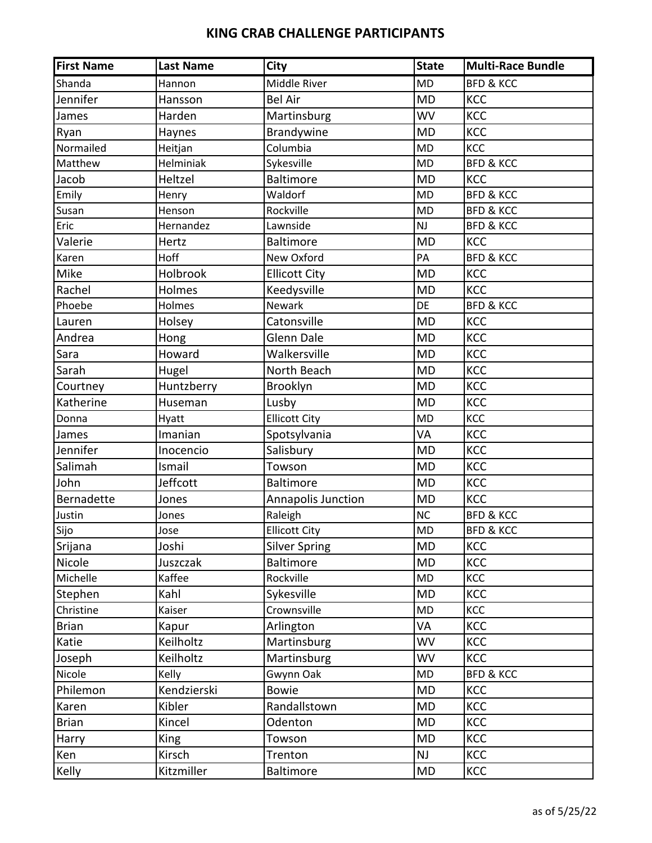| <b>First Name</b> | <b>Last Name</b> | <b>City</b>          | <b>State</b> | <b>Multi-Race Bundle</b> |
|-------------------|------------------|----------------------|--------------|--------------------------|
| Shanda            | Hannon           | Middle River         | <b>MD</b>    | <b>BFD &amp; KCC</b>     |
| Jennifer          | Hansson          | <b>Bel Air</b>       | <b>MD</b>    | <b>KCC</b>               |
| James             | Harden           | Martinsburg          | <b>WV</b>    | KCC                      |
| Ryan              | Haynes           | <b>Brandywine</b>    | <b>MD</b>    | KCC                      |
| Normailed         | Heitjan          | Columbia             | <b>MD</b>    | KCC                      |
| Matthew           | Helminiak        | Sykesville           | <b>MD</b>    | <b>BFD &amp; KCC</b>     |
| Jacob             | Heltzel          | <b>Baltimore</b>     | <b>MD</b>    | <b>KCC</b>               |
| Emily             | Henry            | Waldorf              | <b>MD</b>    | <b>BFD &amp; KCC</b>     |
| Susan             | Henson           | Rockville            | <b>MD</b>    | <b>BFD &amp; KCC</b>     |
| Eric              | Hernandez        | Lawnside             | NJ           | <b>BFD &amp; KCC</b>     |
| Valerie           | Hertz            | <b>Baltimore</b>     | <b>MD</b>    | KCC                      |
| Karen             | Hoff             | New Oxford           | PA           | <b>BFD &amp; KCC</b>     |
| Mike              | Holbrook         | <b>Ellicott City</b> | <b>MD</b>    | KCC                      |
| Rachel            | Holmes           | Keedysville          | <b>MD</b>    | <b>KCC</b>               |
| Phoebe            | Holmes           | Newark               | <b>DE</b>    | <b>BFD &amp; KCC</b>     |
| Lauren            | Holsey           | Catonsville          | <b>MD</b>    | KCC                      |
| Andrea            | Hong             | Glenn Dale           | <b>MD</b>    | KCC                      |
| Sara              | Howard           | Walkersville         | <b>MD</b>    | KCC                      |
| Sarah             | Hugel            | North Beach          | <b>MD</b>    | KCC                      |
| Courtney          | Huntzberry       | Brooklyn             | <b>MD</b>    | KCC                      |
| Katherine         | Huseman          | Lusby                | <b>MD</b>    | KCC                      |
| Donna             | Hyatt            | <b>Ellicott City</b> | <b>MD</b>    | KCC                      |
| James             | Imanian          | Spotsylvania         | VA           | KCC                      |
| Jennifer          | Inocencio        | Salisbury            | <b>MD</b>    | KCC                      |
| Salimah           | Ismail           | Towson               | <b>MD</b>    | KCC                      |
| John              | Jeffcott         | <b>Baltimore</b>     | <b>MD</b>    | KCC                      |
| Bernadette        | Jones            | Annapolis Junction   | <b>MD</b>    | KCC                      |
| Justin            | Jones            | Raleigh              | <b>NC</b>    | <b>BFD &amp; KCC</b>     |
| Sijo              | Jose             | <b>Ellicott City</b> | <b>MD</b>    | <b>BFD &amp; KCC</b>     |
| Srijana           | Joshi            | <b>Silver Spring</b> | <b>MD</b>    | KCC                      |
| Nicole            | Juszczak         | Baltimore            | <b>MD</b>    | <b>KCC</b>               |
| Michelle          | Kaffee           | Rockville            | <b>MD</b>    | KCC                      |
| Stephen           | Kahl             | Sykesville           | <b>MD</b>    | KCC                      |
| Christine         | Kaiser           | Crownsville          | <b>MD</b>    | KCC                      |
| <b>Brian</b>      | Kapur            | Arlington            | VA           | KCC                      |
| Katie             | Keilholtz        | Martinsburg          | <b>WV</b>    | KCC                      |
| Joseph            | Keilholtz        | Martinsburg          | WV           | <b>KCC</b>               |
| Nicole            | Kelly            | Gwynn Oak            | <b>MD</b>    | <b>BFD &amp; KCC</b>     |
| Philemon          | Kendzierski      | <b>Bowie</b>         | <b>MD</b>    | <b>KCC</b>               |
| Karen             | Kibler           | Randallstown         | <b>MD</b>    | KCC                      |
| <b>Brian</b>      | Kincel           | Odenton              | <b>MD</b>    | KCC                      |
| Harry             | <b>King</b>      | Towson               | <b>MD</b>    | KCC                      |
| Ken               | Kirsch           | Trenton              | NJ           | KCC                      |
| Kelly             | Kitzmiller       | Baltimore            | MD           | KCC                      |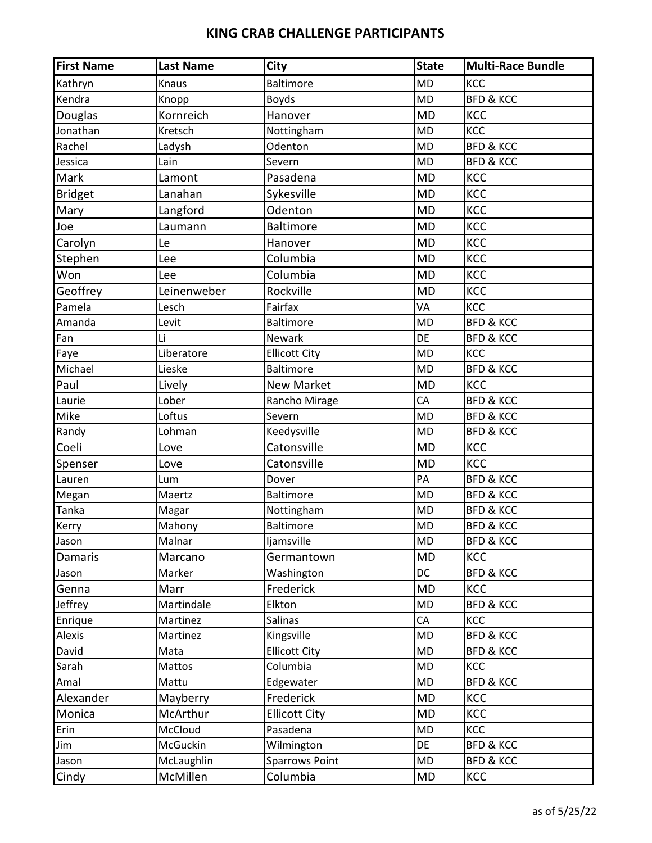| <b>First Name</b> | <b>Last Name</b> | <b>City</b>           | <b>State</b> | <b>Multi-Race Bundle</b> |
|-------------------|------------------|-----------------------|--------------|--------------------------|
| Kathryn           | Knaus            | <b>Baltimore</b>      | <b>MD</b>    | KCC                      |
| Kendra            | Knopp            | <b>Boyds</b>          | <b>MD</b>    | <b>BFD &amp; KCC</b>     |
| <b>Douglas</b>    | Kornreich        | Hanover               | <b>MD</b>    | KCC                      |
| Jonathan          | Kretsch          | Nottingham            | <b>MD</b>    | KCC                      |
| Rachel            | Ladysh           | Odenton               | <b>MD</b>    | <b>BFD &amp; KCC</b>     |
| Jessica           | Lain             | Severn                | <b>MD</b>    | <b>BFD &amp; KCC</b>     |
| Mark              | Lamont           | Pasadena              | <b>MD</b>    | KCC                      |
| <b>Bridget</b>    | Lanahan          | Sykesville            | <b>MD</b>    | KCC                      |
| Mary              | Langford         | Odenton               | <b>MD</b>    | KCC                      |
| Joe               | Laumann          | <b>Baltimore</b>      | <b>MD</b>    | KCC                      |
| Carolyn           | Le               | Hanover               | <b>MD</b>    | KCC                      |
| Stephen           | Lee              | Columbia              | <b>MD</b>    | KCC                      |
| Won               | Lee              | Columbia              | <b>MD</b>    | KCC                      |
| Geoffrey          | Leinenweber      | Rockville             | <b>MD</b>    | KCC                      |
| Pamela            | Lesch            | Fairfax               | VA           | KCC                      |
| Amanda            | Levit            | <b>Baltimore</b>      | <b>MD</b>    | <b>BFD &amp; KCC</b>     |
| Fan               | Li               | Newark                | DE           | <b>BFD &amp; KCC</b>     |
| Faye              | Liberatore       | <b>Ellicott City</b>  | <b>MD</b>    | KCC                      |
| Michael           | Lieske           | <b>Baltimore</b>      | <b>MD</b>    | <b>BFD &amp; KCC</b>     |
| Paul              | Lively           | <b>New Market</b>     | <b>MD</b>    | <b>KCC</b>               |
| Laurie            | Lober            | Rancho Mirage         | CA           | <b>BFD &amp; KCC</b>     |
| Mike              | Loftus           | Severn                | <b>MD</b>    | <b>BFD &amp; KCC</b>     |
| Randy             | Lohman           | Keedysville           | <b>MD</b>    | <b>BFD &amp; KCC</b>     |
| Coeli             | Love             | Catonsville           | <b>MD</b>    | KCC                      |
| Spenser           | Love             | Catonsville           | <b>MD</b>    | KCC                      |
| Lauren            | Lum              | Dover                 | PA           | <b>BFD &amp; KCC</b>     |
| Megan             | Maertz           | <b>Baltimore</b>      | <b>MD</b>    | <b>BFD &amp; KCC</b>     |
| Tanka             | Magar            | Nottingham            | <b>MD</b>    | <b>BFD &amp; KCC</b>     |
| Kerry             | Mahony           | <b>Baltimore</b>      | <b>MD</b>    | <b>BFD &amp; KCC</b>     |
| Jason             | Malnar           | Ijamsville            | <b>MD</b>    | <b>BFD &amp; KCC</b>     |
| <b>Damaris</b>    | Marcano          | Germantown            | <b>MD</b>    | <b>KCC</b>               |
| Jason             | Marker           | Washington            | <b>DC</b>    | <b>BFD &amp; KCC</b>     |
| Genna             | Marr             | Frederick             | <b>MD</b>    | <b>KCC</b>               |
| Jeffrey           | Martindale       | Elkton                | <b>MD</b>    | <b>BFD &amp; KCC</b>     |
| Enrique           | Martinez         | <b>Salinas</b>        | CA           | KCC                      |
| Alexis            | Martinez         | Kingsville            | <b>MD</b>    | <b>BFD &amp; KCC</b>     |
| David             | Mata             | <b>Ellicott City</b>  | <b>MD</b>    | <b>BFD &amp; KCC</b>     |
| Sarah             | Mattos           | Columbia              | <b>MD</b>    | KCC                      |
| Amal              | Mattu            | Edgewater             | <b>MD</b>    | <b>BFD &amp; KCC</b>     |
| Alexander         | Mayberry         | Frederick             | <b>MD</b>    | KCC                      |
| Monica            | McArthur         | <b>Ellicott City</b>  | <b>MD</b>    | KCC                      |
| Erin              | McCloud          | Pasadena              | <b>MD</b>    | KCC                      |
| Jim               | McGuckin         | Wilmington            | DE           | <b>BFD &amp; KCC</b>     |
| Jason             | McLaughlin       | <b>Sparrows Point</b> | <b>MD</b>    | <b>BFD &amp; KCC</b>     |
| Cindy             | McMillen         | Columbia              | <b>MD</b>    | KCC                      |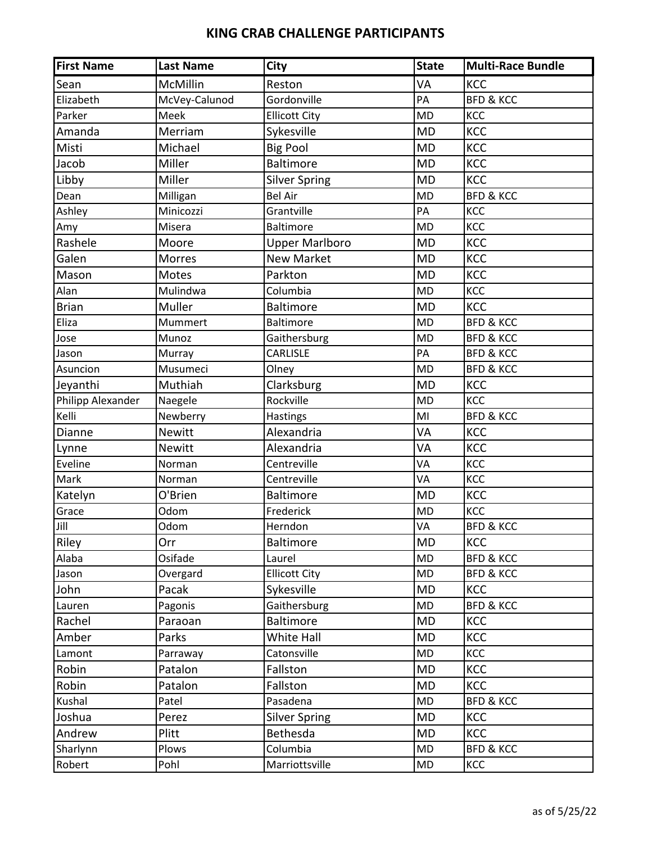| <b>First Name</b> | <b>Last Name</b> | <b>City</b>           | <b>State</b> | <b>Multi-Race Bundle</b> |
|-------------------|------------------|-----------------------|--------------|--------------------------|
| Sean              | McMillin         | Reston                | VA           | <b>KCC</b>               |
| Elizabeth         | McVey-Calunod    | Gordonville           | PA           | <b>BFD &amp; KCC</b>     |
| Parker            | Meek             | <b>Ellicott City</b>  | <b>MD</b>    | KCC                      |
| Amanda            | Merriam          | Sykesville            | <b>MD</b>    | KCC                      |
| Misti             | Michael          | <b>Big Pool</b>       | <b>MD</b>    | KCC                      |
| Jacob             | Miller           | Baltimore             | <b>MD</b>    | KCC                      |
| Libby             | Miller           | <b>Silver Spring</b>  | <b>MD</b>    | <b>KCC</b>               |
| Dean              | Milligan         | <b>Bel Air</b>        | <b>MD</b>    | <b>BFD &amp; KCC</b>     |
| Ashley            | Minicozzi        | Grantville            | PA           | KCC                      |
| Amy               | Misera           | <b>Baltimore</b>      | <b>MD</b>    | KCC                      |
| Rashele           | Moore            | <b>Upper Marlboro</b> | <b>MD</b>    | KCC                      |
| Galen             | Morres           | <b>New Market</b>     | <b>MD</b>    | KCC                      |
| Mason             | Motes            | Parkton               | <b>MD</b>    | KCC                      |
| Alan              | Mulindwa         | Columbia              | <b>MD</b>    | KCC                      |
| <b>Brian</b>      | Muller           | <b>Baltimore</b>      | <b>MD</b>    | <b>KCC</b>               |
| Eliza             | Mummert          | <b>Baltimore</b>      | <b>MD</b>    | <b>BFD &amp; KCC</b>     |
| Jose              | Munoz            | Gaithersburg          | <b>MD</b>    | <b>BFD &amp; KCC</b>     |
| Jason             | Murray           | CARLISLE              | PA           | <b>BFD &amp; KCC</b>     |
| Asuncion          | Musumeci         | Olney                 | <b>MD</b>    | <b>BFD &amp; KCC</b>     |
| Jeyanthi          | Muthiah          | Clarksburg            | <b>MD</b>    | KCC                      |
| Philipp Alexander | Naegele          | Rockville             | <b>MD</b>    | KCC                      |
| Kelli             | Newberry         | Hastings              | MI           | <b>BFD &amp; KCC</b>     |
| Dianne            | <b>Newitt</b>    | Alexandria            | VA           | KCC                      |
| Lynne             | <b>Newitt</b>    | Alexandria            | VA           | KCC                      |
| Eveline           | Norman           | Centreville           | VA           | KCC                      |
| Mark              | Norman           | Centreville           | VA           | KCC                      |
| Katelyn           | O'Brien          | <b>Baltimore</b>      | <b>MD</b>    | KCC                      |
| Grace             | Odom             | Frederick             | <b>MD</b>    | KCC                      |
| Jill              | Odom             | Herndon               | VA           | <b>BFD &amp; KCC</b>     |
| Riley             | Orr              | Baltimore             | <b>MD</b>    | KCC                      |
| Alaba             | Osifade          | Laurel                | <b>MD</b>    | <b>BFD &amp; KCC</b>     |
| Jason             | Overgard         | <b>Ellicott City</b>  | <b>MD</b>    | <b>BFD &amp; KCC</b>     |
| John              | Pacak            | Sykesville            | <b>MD</b>    | KCC                      |
| Lauren            | Pagonis          | Gaithersburg          | MD           | <b>BFD &amp; KCC</b>     |
| Rachel            | Paraoan          | <b>Baltimore</b>      | MD           | KCC                      |
| Amber             | Parks            | White Hall            | <b>MD</b>    | KCC                      |
| Lamont            | Parraway         | Catonsville           | MD           | KCC                      |
| Robin             | Patalon          | Fallston              | MD           | KCC                      |
| Robin             | Patalon          | Fallston              | <b>MD</b>    | KCC                      |
| Kushal            | Patel            | Pasadena              | MD           | <b>BFD &amp; KCC</b>     |
| Joshua            | Perez            | <b>Silver Spring</b>  | <b>MD</b>    | <b>KCC</b>               |
| Andrew            | Plitt            | Bethesda              | <b>MD</b>    | <b>KCC</b>               |
| Sharlynn          | Plows            | Columbia              | MD           | <b>BFD &amp; KCC</b>     |
| Robert            | Pohl             | Marriottsville        | MD           | KCC                      |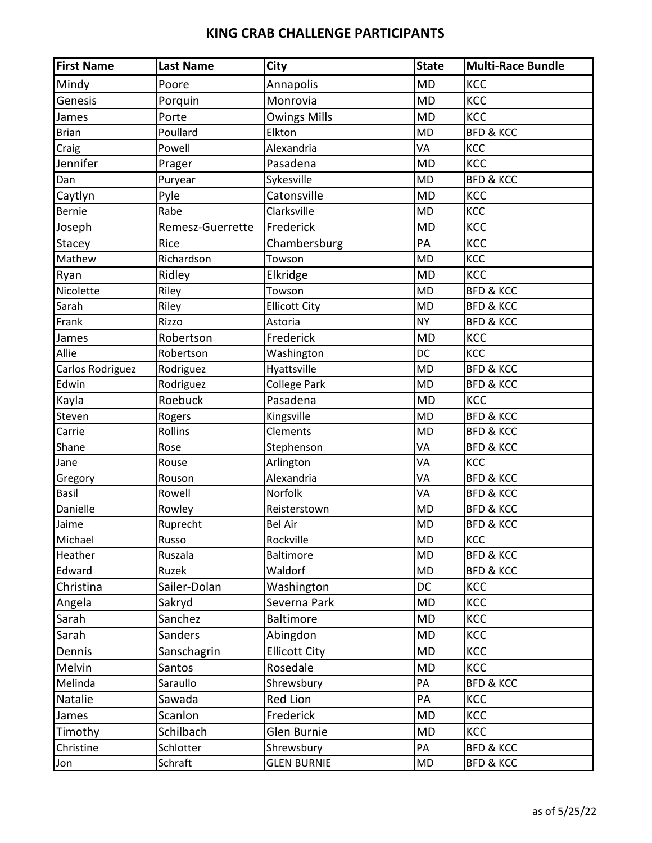| <b>First Name</b> | <b>Last Name</b> | City                 | <b>State</b> | <b>Multi-Race Bundle</b> |
|-------------------|------------------|----------------------|--------------|--------------------------|
| Mindy             | Poore            | Annapolis            | <b>MD</b>    | <b>KCC</b>               |
| Genesis           | Porquin          | Monrovia             | <b>MD</b>    | KCC                      |
| James             | Porte            | <b>Owings Mills</b>  | <b>MD</b>    | KCC                      |
| <b>Brian</b>      | Poullard         | Elkton               | <b>MD</b>    | <b>BFD &amp; KCC</b>     |
| Craig             | Powell           | Alexandria           | VA           | KCC                      |
| Jennifer          | Prager           | Pasadena             | <b>MD</b>    | KCC                      |
| Dan               | Puryear          | Sykesville           | <b>MD</b>    | <b>BFD &amp; KCC</b>     |
| Caytlyn           | Pyle             | Catonsville          | <b>MD</b>    | KCC                      |
| <b>Bernie</b>     | Rabe             | Clarksville          | <b>MD</b>    | KCC                      |
| Joseph            | Remesz-Guerrette | Frederick            | <b>MD</b>    | KCC                      |
| Stacey            | Rice             | Chambersburg         | PA           | KCC                      |
| Mathew            | Richardson       | Towson               | <b>MD</b>    | KCC                      |
| Ryan              | Ridley           | Elkridge             | <b>MD</b>    | KCC                      |
| Nicolette         | Riley            | Towson               | <b>MD</b>    | <b>BFD &amp; KCC</b>     |
| Sarah             | Riley            | <b>Ellicott City</b> | <b>MD</b>    | <b>BFD &amp; KCC</b>     |
| Frank             | Rizzo            | Astoria              | <b>NY</b>    | <b>BFD &amp; KCC</b>     |
| James             | Robertson        | Frederick            | <b>MD</b>    | KCC                      |
| Allie             | Robertson        | Washington           | DC           | KCC                      |
| Carlos Rodriguez  | Rodriguez        | Hyattsville          | <b>MD</b>    | <b>BFD &amp; KCC</b>     |
| Edwin             | Rodriguez        | <b>College Park</b>  | <b>MD</b>    | <b>BFD &amp; KCC</b>     |
| Kayla             | Roebuck          | Pasadena             | <b>MD</b>    | KCC                      |
| Steven            | Rogers           | Kingsville           | <b>MD</b>    | <b>BFD &amp; KCC</b>     |
| Carrie            | Rollins          | Clements             | <b>MD</b>    | <b>BFD &amp; KCC</b>     |
| Shane             | Rose             | Stephenson           | VA           | <b>BFD &amp; KCC</b>     |
| Jane              | Rouse            | Arlington            | VA           | KCC                      |
| Gregory           | Rouson           | Alexandria           | VA           | <b>BFD &amp; KCC</b>     |
| <b>Basil</b>      | Rowell           | Norfolk              | VA           | <b>BFD &amp; KCC</b>     |
| Danielle          | Rowley           | Reisterstown         | <b>MD</b>    | <b>BFD &amp; KCC</b>     |
| Jaime             | Ruprecht         | <b>Bel Air</b>       | <b>MD</b>    | <b>BFD &amp; KCC</b>     |
| Michael           | Russo            | Rockville            | <b>MD</b>    | KCC                      |
| Heather           | Ruszala          | <b>Baltimore</b>     | <b>MD</b>    | <b>BFD &amp; KCC</b>     |
| Edward            | Ruzek            | Waldorf              | <b>MD</b>    | <b>BFD &amp; KCC</b>     |
| Christina         | Sailer-Dolan     | Washington           | <b>DC</b>    | <b>KCC</b>               |
| Angela            | Sakryd           | Severna Park         | <b>MD</b>    | KCC                      |
| Sarah             | Sanchez          | <b>Baltimore</b>     | <b>MD</b>    | <b>KCC</b>               |
| Sarah             | Sanders          | Abingdon             | <b>MD</b>    | KCC                      |
| Dennis            | Sanschagrin      | <b>Ellicott City</b> | MD           | <b>KCC</b>               |
| Melvin            | Santos           | Rosedale             | <b>MD</b>    | <b>KCC</b>               |
| Melinda           | Saraullo         | Shrewsbury           | PA           | <b>BFD &amp; KCC</b>     |
| Natalie           | Sawada           | Red Lion             | PA           | <b>KCC</b>               |
| James             | Scanlon          | Frederick            | <b>MD</b>    | <b>KCC</b>               |
| Timothy           | Schilbach        | Glen Burnie          | <b>MD</b>    | <b>KCC</b>               |
| Christine         | Schlotter        | Shrewsbury           | PA           | <b>BFD &amp; KCC</b>     |
| Jon               | Schraft          | <b>GLEN BURNIE</b>   | MD           | <b>BFD &amp; KCC</b>     |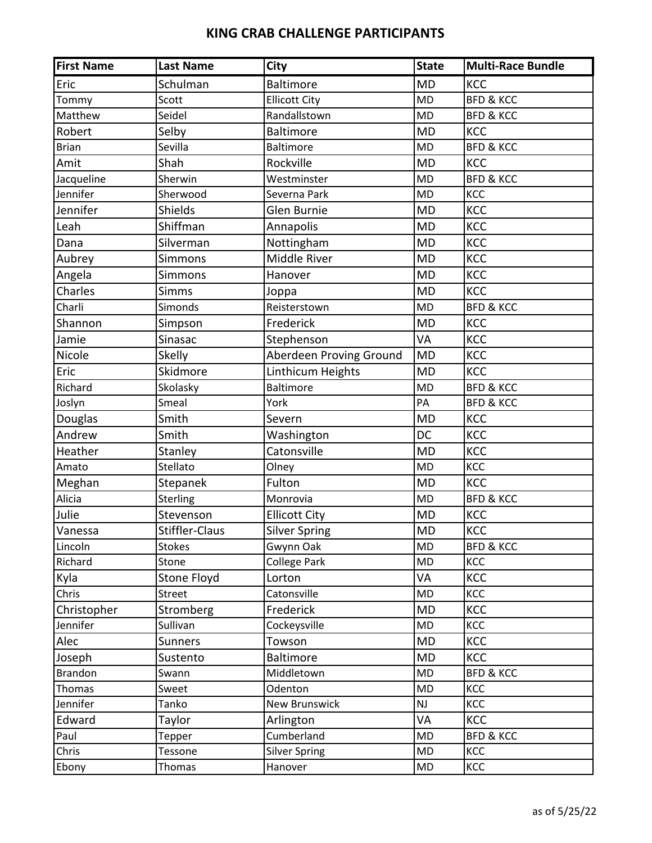| <b>First Name</b> | <b>Last Name</b> | <b>City</b>             | <b>State</b> | Multi-Race Bundle    |
|-------------------|------------------|-------------------------|--------------|----------------------|
| Eric              | Schulman         | <b>Baltimore</b>        | <b>MD</b>    | KCC                  |
| Tommy             | Scott            | <b>Ellicott City</b>    | <b>MD</b>    | <b>BFD &amp; KCC</b> |
| Matthew           | Seidel           | Randallstown            | <b>MD</b>    | <b>BFD &amp; KCC</b> |
| Robert            | Selby            | <b>Baltimore</b>        | <b>MD</b>    | KCC                  |
| <b>Brian</b>      | Sevilla          | <b>Baltimore</b>        | <b>MD</b>    | <b>BFD &amp; KCC</b> |
| Amit              | Shah             | Rockville               | <b>MD</b>    | KCC                  |
| Jacqueline        | Sherwin          | Westminster             | <b>MD</b>    | <b>BFD &amp; KCC</b> |
| Jennifer          | Sherwood         | Severna Park            | <b>MD</b>    | KCC                  |
| Jennifer          | Shields          | Glen Burnie             | <b>MD</b>    | KCC                  |
| Leah              | Shiffman         | Annapolis               | <b>MD</b>    | KCC                  |
| Dana              | Silverman        | Nottingham              | <b>MD</b>    | KCC                  |
| Aubrey            | Simmons          | Middle River            | <b>MD</b>    | KCC                  |
| Angela            | Simmons          | Hanover                 | <b>MD</b>    | KCC                  |
| Charles           | <b>Simms</b>     | Joppa                   | <b>MD</b>    | KCC                  |
| Charli            | Simonds          | Reisterstown            | <b>MD</b>    | <b>BFD &amp; KCC</b> |
| Shannon           | Simpson          | Frederick               | <b>MD</b>    | KCC                  |
| Jamie             | Sinasac          | Stephenson              | VA           | KCC                  |
| Nicole            | Skelly           | Aberdeen Proving Ground | <b>MD</b>    | KCC                  |
| Eric              | Skidmore         | Linthicum Heights       | <b>MD</b>    | KCC                  |
| Richard           | Skolasky         | <b>Baltimore</b>        | <b>MD</b>    | <b>BFD &amp; KCC</b> |
| Joslyn            | Smeal            | York                    | PA           | <b>BFD &amp; KCC</b> |
| Douglas           | Smith            | Severn                  | <b>MD</b>    | KCC                  |
| Andrew            | Smith            | Washington              | DC           | KCC                  |
| Heather           | Stanley          | Catonsville             | <b>MD</b>    | KCC                  |
| Amato             | Stellato         | Olney                   | <b>MD</b>    | KCC                  |
| Meghan            | Stepanek         | Fulton                  | <b>MD</b>    | KCC                  |
| Alicia            | Sterling         | Monrovia                | <b>MD</b>    | <b>BFD &amp; KCC</b> |
| Julie             | Stevenson        | <b>Ellicott City</b>    | <b>MD</b>    | KCC                  |
| Vanessa           | Stiffler-Claus   | Silver Spring           | <b>MD</b>    | <b>KCC</b>           |
| Lincoln           | Stokes           | Gwynn Oak               | <b>MD</b>    | <b>BFD &amp; KCC</b> |
| Richard           | Stone            | <b>College Park</b>     | <b>MD</b>    | KCC                  |
| Kyla              | Stone Floyd      | Lorton                  | VA           | KCC                  |
| Chris             | <b>Street</b>    | Catonsville             | MD           | KCC                  |
| Christopher       | Stromberg        | Frederick               | <b>MD</b>    | KCC                  |
| Jennifer          | Sullivan         | Cockeysville            | MD           | KCC                  |
| Alec              | <b>Sunners</b>   | Towson                  | <b>MD</b>    | KCC                  |
| Joseph            | Sustento         | <b>Baltimore</b>        | <b>MD</b>    | <b>KCC</b>           |
| Brandon           | Swann            | Middletown              | <b>MD</b>    | <b>BFD &amp; KCC</b> |
| Thomas            | Sweet            | Odenton                 | MD           | KCC                  |
| Jennifer          | Tanko            | <b>New Brunswick</b>    | NJ           | KCC                  |
| Edward            | Taylor           | Arlington               | VA           | KCC                  |
| Paul              | Tepper           | Cumberland              | MD           | <b>BFD &amp; KCC</b> |
| Chris             | Tessone          | <b>Silver Spring</b>    | <b>MD</b>    | KCC                  |
| Ebony             | Thomas           | Hanover                 | MD           | KCC                  |